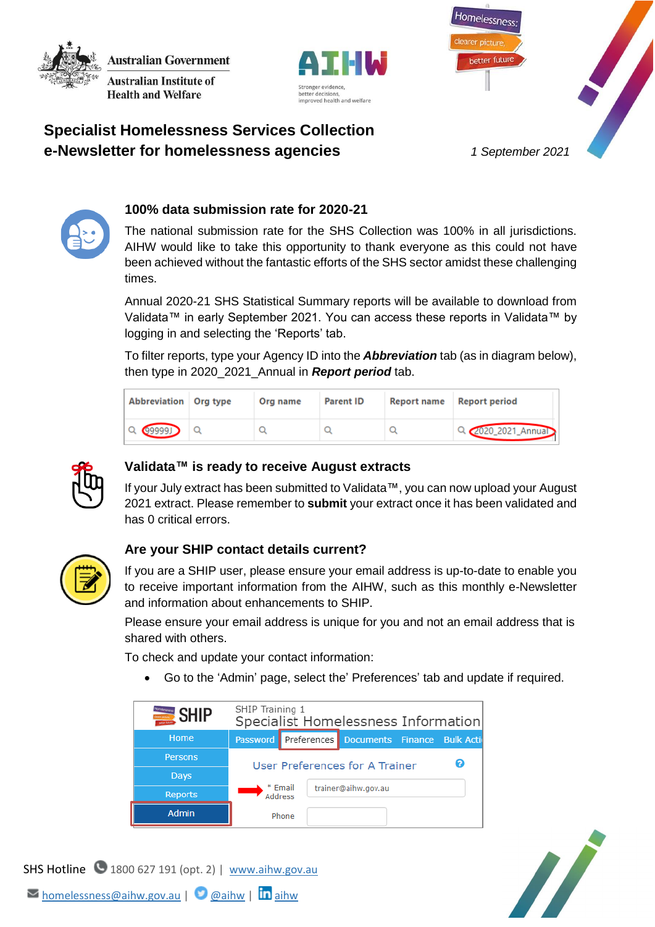**Australian Government Australian Institute of** 

**Health and Welfare** 





# **Specialist Homelessness Services Collection e-Newsletter for homelessness agencies** *1 September 2021*



## **100% data submission rate for 2020-21**

The national submission rate for the SHS Collection was 100% in all jurisdictions. AIHW would like to take this opportunity to thank everyone as this could not have been achieved without the fantastic efforts of the SHS sector amidst these challenging times.

Annual 2020-21 SHS Statistical Summary reports will be available to download from Validata™ in early September 2021. You can access these reports in Validata™ by logging in and selecting the 'Reports' tab.

To filter reports, type your Agency ID into the *Abbreviation* tab (as in diagram below), then type in 2020\_2021\_Annual in *Report period* tab.

| Abbreviation Org type | Org name | <b>Parent ID</b> | <b>Report name</b> | <b>Report period</b> |
|-----------------------|----------|------------------|--------------------|----------------------|
| $Q$ (99999) $Q$       |          |                  |                    | Q 2020_2021_Annual   |



## **Validata™ is ready to receive August extracts**

If your July extract has been submitted to Validata™, you can now upload your August 2021 extract. Please remember to **submit** your extract once it has been validated and has 0 critical errors.



### **Are your SHIP contact details current?**

If you are a SHIP user, please ensure your email address is up-to-date to enable you to receive important information from the AIHW, such as this monthly e-Newsletter and information about enhancements to SHIP.

Please ensure your email address is unique for you and not an email address that is shared with others.

To check and update your contact information:

Go to the 'Admin' page, select the' Preferences' tab and update if required.



N,

SHS Hotline 1800 627 191 (opt. 2) | [www.aihw.gov.au](http://www.aihw.gov.au/)

 $\triangleright$  [homelessness@aihw.gov.au](mailto:homelessness@aihw.gov.au) |  $\bigcirc$  [@aihw](https://twitter.com/aihw) |  $\overline{\ln}$  [aihw](https://www.linkedin.com/company/australian-institute-of-health-and-welfare/)